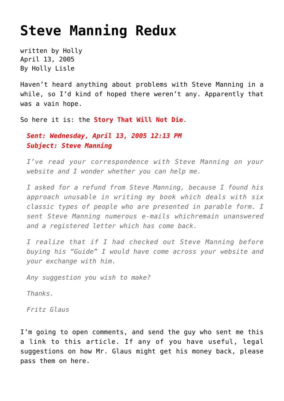## **[Steve Manning Redux](https://hollylisle.com/steve-manning-redux/)**

written by Holly April 13, 2005 [By Holly Lisle](https://hollylisle.com)

Haven't heard anything about [problems with Steve Manning](https://hollylisle.com/fm/Articles/scamspotting_letters.html) in a while, so I'd kind of hoped there weren't any. Apparently that was a vain hope.

So here it is: the **Story That Will Not Die**.

*Sent: Wednesday, April 13, 2005 12:13 PM Subject: Steve Manning*

*I've read your correspondence with Steve Manning on your website and I wonder whether you can help me.*

*I asked for a refund from Steve Manning, because I found his approach unusable in writing my book which deals with six classic types of people who are presented in parable form. I sent Steve Manning numerous e-mails whichremain unanswered and a registered letter which has come back.*

*I realize that if I had checked out Steve Manning before buying his "Guide" I would have come across your website and your exchange with him.*

*Any suggestion you wish to make?*

*Thanks.*

*Fritz Glaus*

I'm going to open comments, and send the guy who sent me this a link to this article. If any of you have useful, legal suggestions on how Mr. Glaus might get his money back, please pass them on here.